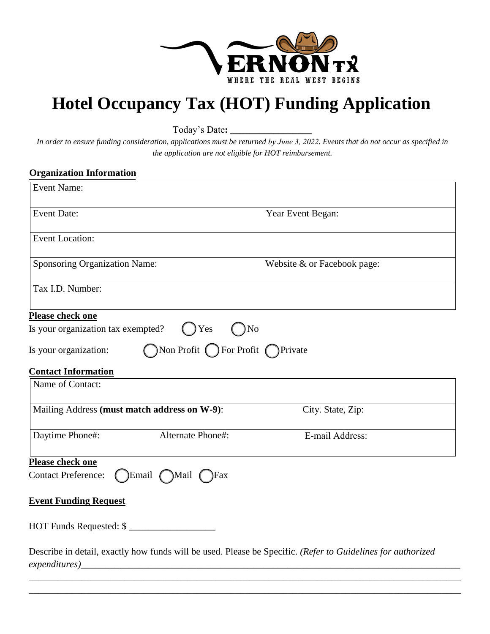

## **Hotel Occupancy Tax (HOT) Funding Application**

Today's Date**: \_\_\_\_\_\_\_\_\_\_\_\_\_\_\_\_\_** 

*In order to ensure funding consideration, applications must be returned by June 3, 2022. Events that do not occur as specified in the application are not eligible for HOT reimbursement.* 

## **Organization Information**

| <b>Event Name:</b>                                                                                                                      |                             |
|-----------------------------------------------------------------------------------------------------------------------------------------|-----------------------------|
| <b>Event Date:</b>                                                                                                                      | Year Event Began:           |
| <b>Event Location:</b>                                                                                                                  |                             |
| Sponsoring Organization Name:                                                                                                           | Website & or Facebook page: |
| Tax I.D. Number:                                                                                                                        |                             |
| Please check one<br>Is your organization tax exempted?<br>$()$ Yes<br>)No<br>Non Profit C For Profit C Private<br>Is your organization: |                             |
| <b>Contact Information</b>                                                                                                              |                             |
| Name of Contact:                                                                                                                        |                             |
| Mailing Address (must match address on W-9):                                                                                            | City. State, Zip:           |
| Daytime Phone#:<br>Alternate Phone#:                                                                                                    | E-mail Address:             |
| Please check one<br>Contact Preference: (Email Mail<br>$\gamma$ Fax                                                                     |                             |
| <b>Event Funding Request</b>                                                                                                            |                             |
| HOT Funds Requested: \$                                                                                                                 |                             |
| Describe in detail, exactly how funds will be used. Please be Specific. (Refer to Guidelines for authorized                             |                             |

\_\_\_\_\_\_\_\_\_\_\_\_\_\_\_\_\_\_\_\_\_\_\_\_\_\_\_\_\_\_\_\_\_\_\_\_\_\_\_\_\_\_\_\_\_\_\_\_\_\_\_\_\_\_\_\_\_\_\_\_\_\_\_\_\_\_\_\_\_\_\_\_\_\_\_\_\_\_\_\_\_\_\_\_\_\_\_\_\_\_ \_\_\_\_\_\_\_\_\_\_\_\_\_\_\_\_\_\_\_\_\_\_\_\_\_\_\_\_\_\_\_\_\_\_\_\_\_\_\_\_\_\_\_\_\_\_\_\_\_\_\_\_\_\_\_\_\_\_\_\_\_\_\_\_\_\_\_\_\_\_\_\_\_\_\_\_\_\_\_\_\_\_\_\_\_\_\_\_\_\_

*expenditures)*\_\_\_\_\_\_\_\_\_\_\_\_\_\_\_\_\_\_\_\_\_\_\_\_\_\_\_\_\_\_\_\_\_\_\_\_\_\_\_\_\_\_\_\_\_\_\_\_\_\_\_\_\_\_\_\_\_\_\_\_\_\_\_\_\_\_\_\_\_\_\_\_\_\_\_\_\_\_\_